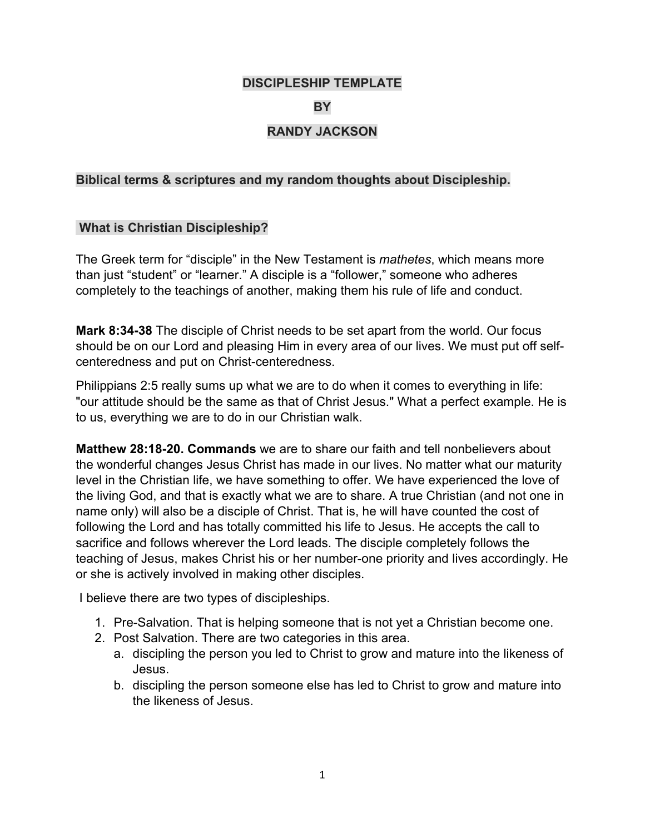#### **DISCIPLESHIP TEMPLATE**

#### **BY**

## **RANDY JACKSON**

#### **Biblical terms & scriptures and my random thoughts about Discipleship.**

#### **What is Christian Discipleship?**

The Greek term for "disciple" in the New Testament is *mathetes*, which means more than just "student" or "learner." A disciple is a "follower," someone who adheres completely to the teachings of another, making them his rule of life and conduct.

**Mark 8:34-38** The disciple of Christ needs to be set apart from the world. Our focus should be on our Lord and pleasing Him in every area of our lives. We must put off selfcenteredness and put on Christ-centeredness.

Philippians 2:5 really sums up what we are to do when it comes to everything in life: "our attitude should be the same as that of Christ Jesus." What a perfect example. He is to us, everything we are to do in our Christian walk.

**Matthew 28:18-20. Commands** we are to share our faith and tell nonbelievers about the wonderful changes Jesus Christ has made in our lives. No matter what our maturity level in the Christian life, we have something to offer. We have experienced the love of the living God, and that is exactly what we are to share. A true Christian (and not one in name only) will also be a disciple of Christ. That is, he will have counted the cost of following the Lord and has totally committed his life to Jesus. He accepts the call to sacrifice and follows wherever the Lord leads. The disciple completely follows the teaching of Jesus, makes Christ his or her number-one priority and lives accordingly. He or she is actively involved in making other disciples.

I believe there are two types of discipleships.

- 1. Pre-Salvation. That is helping someone that is not yet a Christian become one.
- 2. Post Salvation. There are two categories in this area.
	- a. discipling the person you led to Christ to grow and mature into the likeness of Jesus.
	- b. discipling the person someone else has led to Christ to grow and mature into the likeness of Jesus.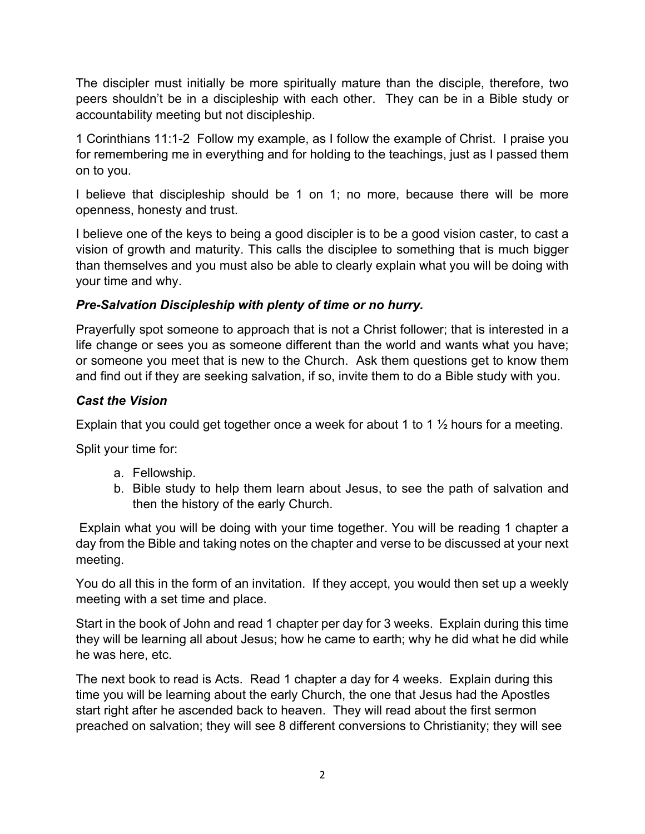The discipler must initially be more spiritually mature than the disciple, therefore, two peers shouldn't be in a discipleship with each other. They can be in a Bible study or accountability meeting but not discipleship.

1 Corinthians 11:1-2 Follow my example, as I follow the example of Christ. I praise you for remembering me in everything and for holding to the teachings, just as I passed them on to you.

I believe that discipleship should be 1 on 1; no more, because there will be more openness, honesty and trust.

I believe one of the keys to being a good discipler is to be a good vision caster, to cast a vision of growth and maturity. This calls the disciplee to something that is much bigger than themselves and you must also be able to clearly explain what you will be doing with your time and why.

## *Pre-Salvation Discipleship with plenty of time or no hurry.*

Prayerfully spot someone to approach that is not a Christ follower; that is interested in a life change or sees you as someone different than the world and wants what you have; or someone you meet that is new to the Church. Ask them questions get to know them and find out if they are seeking salvation, if so, invite them to do a Bible study with you.

## *Cast the Vision*

Explain that you could get together once a week for about 1 to 1  $\frac{1}{2}$  hours for a meeting.

Split your time for:

- a. Fellowship.
- b. Bible study to help them learn about Jesus, to see the path of salvation and then the history of the early Church.

Explain what you will be doing with your time together. You will be reading 1 chapter a day from the Bible and taking notes on the chapter and verse to be discussed at your next meeting.

You do all this in the form of an invitation. If they accept, you would then set up a weekly meeting with a set time and place.

Start in the book of John and read 1 chapter per day for 3 weeks. Explain during this time they will be learning all about Jesus; how he came to earth; why he did what he did while he was here, etc.

The next book to read is Acts. Read 1 chapter a day for 4 weeks. Explain during this time you will be learning about the early Church, the one that Jesus had the Apostles start right after he ascended back to heaven. They will read about the first sermon preached on salvation; they will see 8 different conversions to Christianity; they will see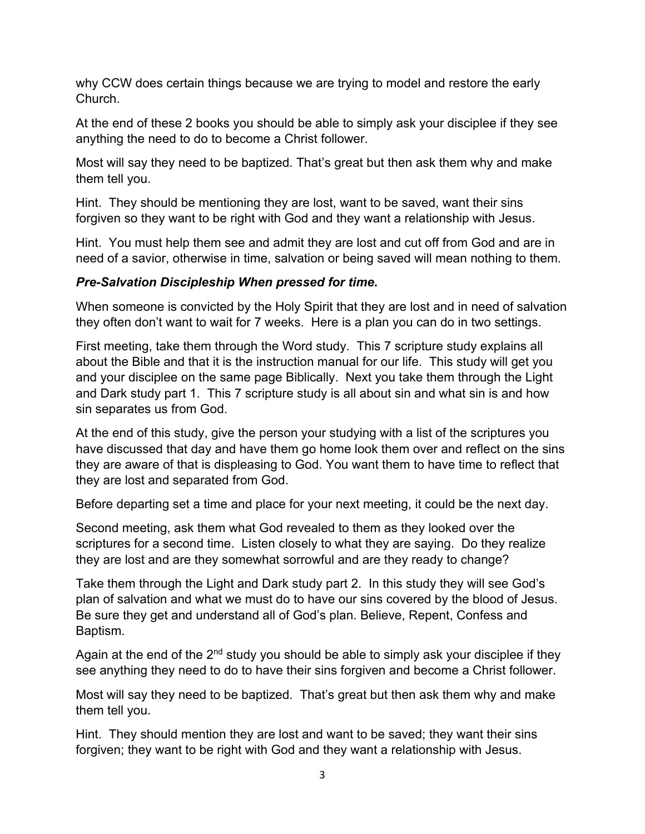why CCW does certain things because we are trying to model and restore the early Church.

At the end of these 2 books you should be able to simply ask your disciplee if they see anything the need to do to become a Christ follower.

Most will say they need to be baptized. That's great but then ask them why and make them tell you.

Hint. They should be mentioning they are lost, want to be saved, want their sins forgiven so they want to be right with God and they want a relationship with Jesus.

Hint. You must help them see and admit they are lost and cut off from God and are in need of a savior, otherwise in time, salvation or being saved will mean nothing to them.

# *Pre-Salvation Discipleship When pressed for time.*

When someone is convicted by the Holy Spirit that they are lost and in need of salvation they often don't want to wait for 7 weeks. Here is a plan you can do in two settings.

First meeting, take them through the Word study. This 7 scripture study explains all about the Bible and that it is the instruction manual for our life. This study will get you and your disciplee on the same page Biblically. Next you take them through the Light and Dark study part 1. This 7 scripture study is all about sin and what sin is and how sin separates us from God.

At the end of this study, give the person your studying with a list of the scriptures you have discussed that day and have them go home look them over and reflect on the sins they are aware of that is displeasing to God. You want them to have time to reflect that they are lost and separated from God.

Before departing set a time and place for your next meeting, it could be the next day.

Second meeting, ask them what God revealed to them as they looked over the scriptures for a second time. Listen closely to what they are saying. Do they realize they are lost and are they somewhat sorrowful and are they ready to change?

Take them through the Light and Dark study part 2. In this study they will see God's plan of salvation and what we must do to have our sins covered by the blood of Jesus. Be sure they get and understand all of God's plan. Believe, Repent, Confess and Baptism.

Again at the end of the  $2<sup>nd</sup>$  study you should be able to simply ask your disciplee if they see anything they need to do to have their sins forgiven and become a Christ follower.

Most will say they need to be baptized. That's great but then ask them why and make them tell you.

Hint. They should mention they are lost and want to be saved; they want their sins forgiven; they want to be right with God and they want a relationship with Jesus.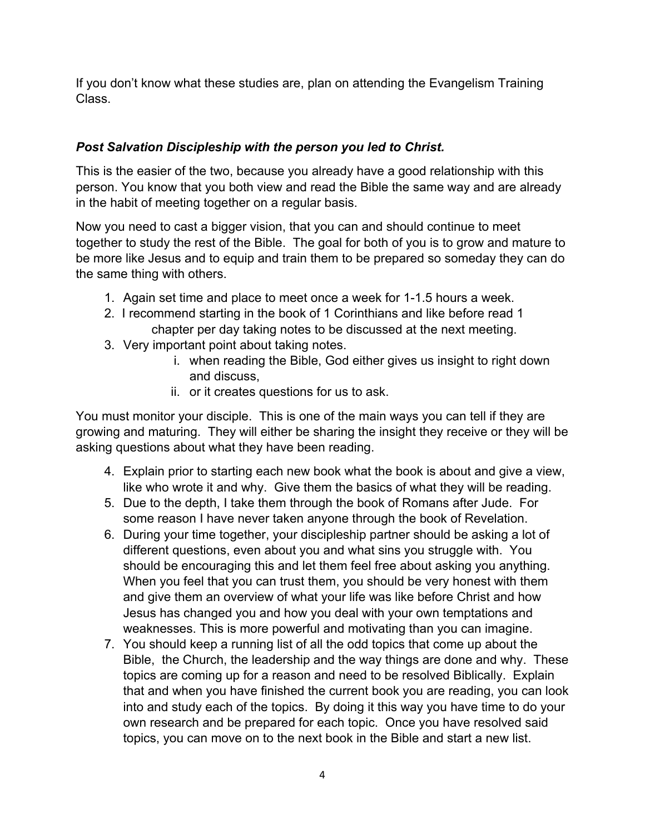If you don't know what these studies are, plan on attending the Evangelism Training Class.

# *Post Salvation Discipleship with the person you led to Christ.*

This is the easier of the two, because you already have a good relationship with this person. You know that you both view and read the Bible the same way and are already in the habit of meeting together on a regular basis.

Now you need to cast a bigger vision, that you can and should continue to meet together to study the rest of the Bible. The goal for both of you is to grow and mature to be more like Jesus and to equip and train them to be prepared so someday they can do the same thing with others.

- 1. Again set time and place to meet once a week for 1-1.5 hours a week.
- 2. I recommend starting in the book of 1 Corinthians and like before read 1 chapter per day taking notes to be discussed at the next meeting.
- 3. Very important point about taking notes.
	- i. when reading the Bible, God either gives us insight to right down and discuss,
	- ii. or it creates questions for us to ask.

You must monitor your disciple. This is one of the main ways you can tell if they are growing and maturing. They will either be sharing the insight they receive or they will be asking questions about what they have been reading.

- 4. Explain prior to starting each new book what the book is about and give a view, like who wrote it and why. Give them the basics of what they will be reading.
- 5. Due to the depth, I take them through the book of Romans after Jude. For some reason I have never taken anyone through the book of Revelation.
- 6. During your time together, your discipleship partner should be asking a lot of different questions, even about you and what sins you struggle with. You should be encouraging this and let them feel free about asking you anything. When you feel that you can trust them, you should be very honest with them and give them an overview of what your life was like before Christ and how Jesus has changed you and how you deal with your own temptations and weaknesses. This is more powerful and motivating than you can imagine.
- 7. You should keep a running list of all the odd topics that come up about the Bible, the Church, the leadership and the way things are done and why. These topics are coming up for a reason and need to be resolved Biblically. Explain that and when you have finished the current book you are reading, you can look into and study each of the topics. By doing it this way you have time to do your own research and be prepared for each topic. Once you have resolved said topics, you can move on to the next book in the Bible and start a new list.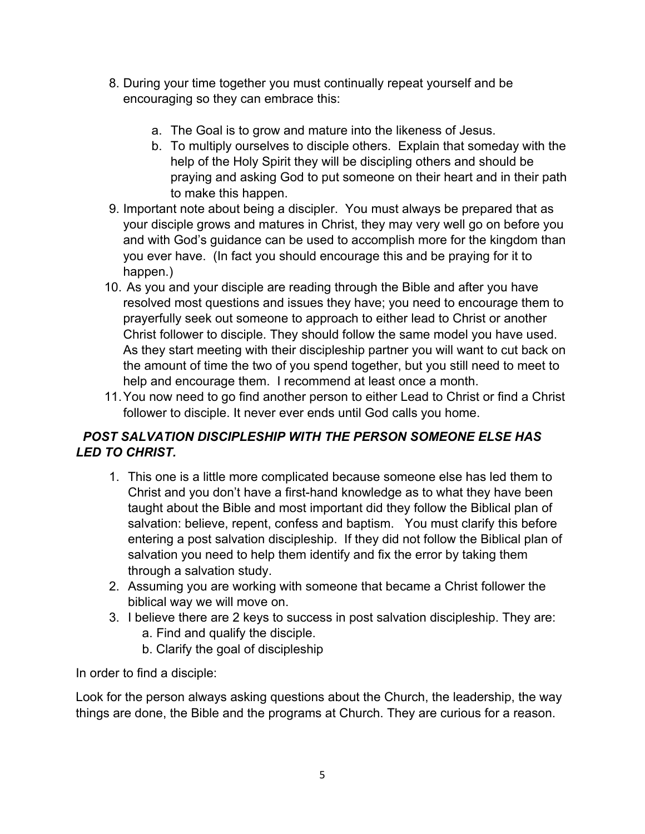- 8. During your time together you must continually repeat yourself and be encouraging so they can embrace this:
	- a. The Goal is to grow and mature into the likeness of Jesus.
	- b. To multiply ourselves to disciple others. Explain that someday with the help of the Holy Spirit they will be discipling others and should be praying and asking God to put someone on their heart and in their path to make this happen.
- 9. Important note about being a discipler. You must always be prepared that as your disciple grows and matures in Christ, they may very well go on before you and with God's guidance can be used to accomplish more for the kingdom than you ever have. (In fact you should encourage this and be praying for it to happen.)
- 10. As you and your disciple are reading through the Bible and after you have resolved most questions and issues they have; you need to encourage them to prayerfully seek out someone to approach to either lead to Christ or another Christ follower to disciple. They should follow the same model you have used. As they start meeting with their discipleship partner you will want to cut back on the amount of time the two of you spend together, but you still need to meet to help and encourage them. I recommend at least once a month.
- 11.You now need to go find another person to either Lead to Christ or find a Christ follower to disciple. It never ever ends until God calls you home.

# *POST SALVATION DISCIPLESHIP WITH THE PERSON SOMEONE ELSE HAS LED TO CHRIST.*

- 1. This one is a little more complicated because someone else has led them to Christ and you don't have a first-hand knowledge as to what they have been taught about the Bible and most important did they follow the Biblical plan of salvation: believe, repent, confess and baptism. You must clarify this before entering a post salvation discipleship. If they did not follow the Biblical plan of salvation you need to help them identify and fix the error by taking them through a salvation study.
- 2. Assuming you are working with someone that became a Christ follower the biblical way we will move on.
- 3. I believe there are 2 keys to success in post salvation discipleship. They are: a. Find and qualify the disciple.
	- b. Clarify the goal of discipleship

In order to find a disciple:

Look for the person always asking questions about the Church, the leadership, the way things are done, the Bible and the programs at Church. They are curious for a reason.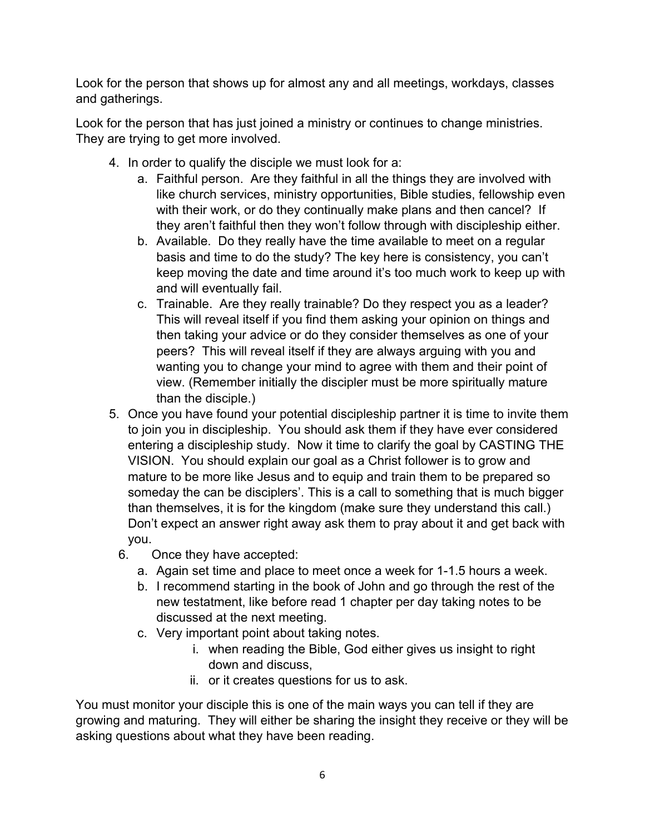Look for the person that shows up for almost any and all meetings, workdays, classes and gatherings.

Look for the person that has just joined a ministry or continues to change ministries. They are trying to get more involved.

- 4. In order to qualify the disciple we must look for a:
	- a. Faithful person. Are they faithful in all the things they are involved with like church services, ministry opportunities, Bible studies, fellowship even with their work, or do they continually make plans and then cancel? If they aren't faithful then they won't follow through with discipleship either.
	- b. Available. Do they really have the time available to meet on a regular basis and time to do the study? The key here is consistency, you can't keep moving the date and time around it's too much work to keep up with and will eventually fail.
	- c. Trainable. Are they really trainable? Do they respect you as a leader? This will reveal itself if you find them asking your opinion on things and then taking your advice or do they consider themselves as one of your peers? This will reveal itself if they are always arguing with you and wanting you to change your mind to agree with them and their point of view. (Remember initially the discipler must be more spiritually mature than the disciple.)
- 5. Once you have found your potential discipleship partner it is time to invite them to join you in discipleship. You should ask them if they have ever considered entering a discipleship study. Now it time to clarify the goal by CASTING THE VISION. You should explain our goal as a Christ follower is to grow and mature to be more like Jesus and to equip and train them to be prepared so someday the can be disciplers'. This is a call to something that is much bigger than themselves, it is for the kingdom (make sure they understand this call.) Don't expect an answer right away ask them to pray about it and get back with you.
	- 6. Once they have accepted:
		- a. Again set time and place to meet once a week for 1-1.5 hours a week.
		- b. I recommend starting in the book of John and go through the rest of the new testatment, like before read 1 chapter per day taking notes to be discussed at the next meeting.
		- c. Very important point about taking notes.
			- i. when reading the Bible, God either gives us insight to right down and discuss,
			- ii. or it creates questions for us to ask.

You must monitor your disciple this is one of the main ways you can tell if they are growing and maturing. They will either be sharing the insight they receive or they will be asking questions about what they have been reading.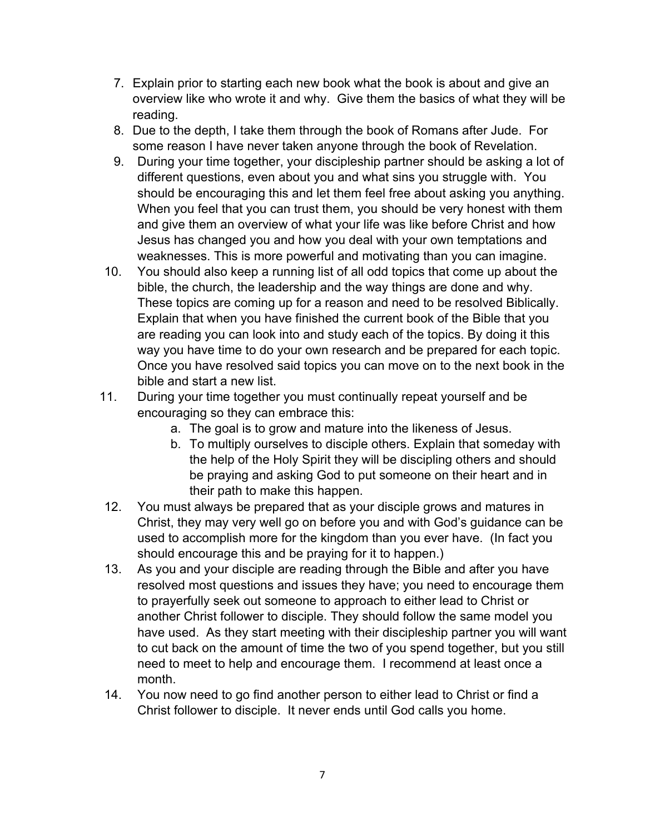- 7. Explain prior to starting each new book what the book is about and give an overview like who wrote it and why. Give them the basics of what they will be reading.
- 8. Due to the depth, I take them through the book of Romans after Jude. For some reason I have never taken anyone through the book of Revelation.
- 9. During your time together, your discipleship partner should be asking a lot of different questions, even about you and what sins you struggle with. You should be encouraging this and let them feel free about asking you anything. When you feel that you can trust them, you should be very honest with them and give them an overview of what your life was like before Christ and how Jesus has changed you and how you deal with your own temptations and weaknesses. This is more powerful and motivating than you can imagine.
- 10. You should also keep a running list of all odd topics that come up about the bible, the church, the leadership and the way things are done and why. These topics are coming up for a reason and need to be resolved Biblically. Explain that when you have finished the current book of the Bible that you are reading you can look into and study each of the topics. By doing it this way you have time to do your own research and be prepared for each topic. Once you have resolved said topics you can move on to the next book in the bible and start a new list.
- 11. During your time together you must continually repeat yourself and be encouraging so they can embrace this:
	- a. The goal is to grow and mature into the likeness of Jesus.
	- b. To multiply ourselves to disciple others. Explain that someday with the help of the Holy Spirit they will be discipling others and should be praying and asking God to put someone on their heart and in their path to make this happen.
- 12. You must always be prepared that as your disciple grows and matures in Christ, they may very well go on before you and with God's guidance can be used to accomplish more for the kingdom than you ever have. (In fact you should encourage this and be praying for it to happen.)
- 13. As you and your disciple are reading through the Bible and after you have resolved most questions and issues they have; you need to encourage them to prayerfully seek out someone to approach to either lead to Christ or another Christ follower to disciple. They should follow the same model you have used. As they start meeting with their discipleship partner you will want to cut back on the amount of time the two of you spend together, but you still need to meet to help and encourage them. I recommend at least once a month.
- 14. You now need to go find another person to either lead to Christ or find a Christ follower to disciple. It never ends until God calls you home.